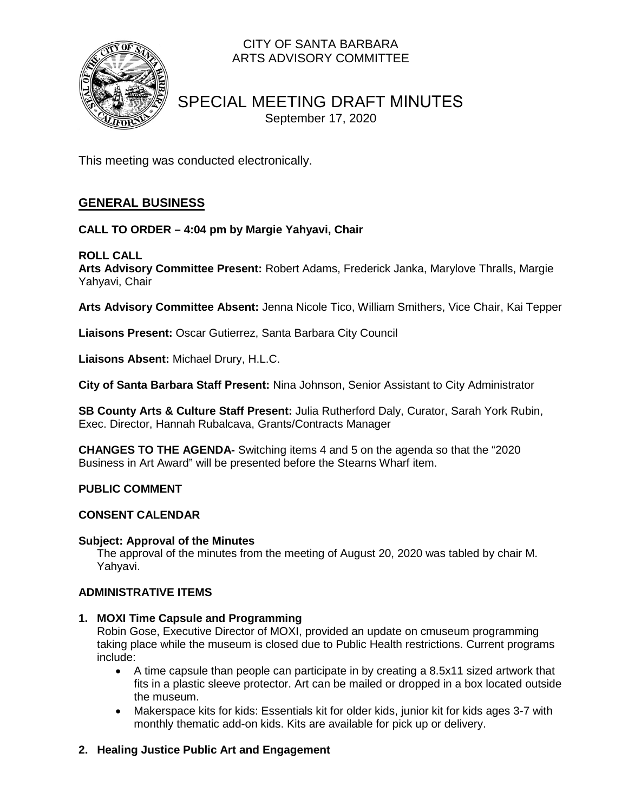

### CITY OF SANTA BARBARA ARTS ADVISORY COMMITTEE

## SPECIAL MEETING DRAFT MINUTES September 17, 2020

This meeting was conducted electronically.

### **GENERAL BUSINESS**

#### **CALL TO ORDER – 4:04 pm by Margie Yahyavi, Chair**

#### **ROLL CALL**

**Arts Advisory Committee Present:** Robert Adams, Frederick Janka, Marylove Thralls, Margie Yahyavi, Chair

**Arts Advisory Committee Absent:** Jenna Nicole Tico, William Smithers, Vice Chair, Kai Tepper

**Liaisons Present:** Oscar Gutierrez, Santa Barbara City Council

**Liaisons Absent:** Michael Drury, H.L.C.

**City of Santa Barbara Staff Present:** Nina Johnson, Senior Assistant to City Administrator

**SB County Arts & Culture Staff Present:** Julia Rutherford Daly, Curator, Sarah York Rubin, Exec. Director, Hannah Rubalcava, Grants/Contracts Manager

**CHANGES TO THE AGENDA-** Switching items 4 and 5 on the agenda so that the "2020 Business in Art Award" will be presented before the Stearns Wharf item.

#### **PUBLIC COMMENT**

#### **CONSENT CALENDAR**

#### **Subject: Approval of the Minutes**

The approval of the minutes from the meeting of August 20, 2020 was tabled by chair M. Yahyavi.

#### **ADMINISTRATIVE ITEMS**

#### **1. MOXI Time Capsule and Programming**

Robin Gose, Executive Director of MOXI, provided an update on cmuseum programming taking place while the museum is closed due to Public Health restrictions. Current programs include:

- A time capsule than people can participate in by creating a 8.5x11 sized artwork that fits in a plastic sleeve protector. Art can be mailed or dropped in a box located outside the museum.
- Makerspace kits for kids: Essentials kit for older kids, junior kit for kids ages 3-7 with monthly thematic add-on kids. Kits are available for pick up or delivery.

#### **2. Healing Justice Public Art and Engagement**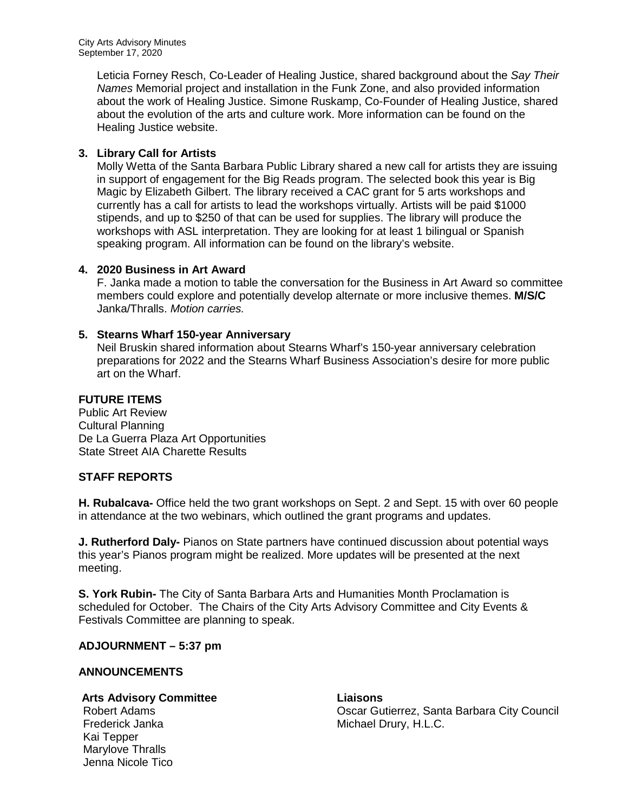Leticia Forney Resch, Co-Leader of Healing Justice, shared background about the *Say Their Names* Memorial project and installation in the Funk Zone, and also provided information about the work of Healing Justice. Simone Ruskamp, Co-Founder of Healing Justice, shared about the evolution of the arts and culture work. More information can be found on the Healing Justice website.

#### **3. Library Call for Artists**

Molly Wetta of the Santa Barbara Public Library shared a new call for artists they are issuing in support of engagement for the Big Reads program. The selected book this year is Big Magic by Elizabeth Gilbert. The library received a CAC grant for 5 arts workshops and currently has a call for artists to lead the workshops virtually. Artists will be paid \$1000 stipends, and up to \$250 of that can be used for supplies. The library will produce the workshops with ASL interpretation. They are looking for at least 1 bilingual or Spanish speaking program. All information can be found on the library's website.

#### **4. 2020 Business in Art Award**

F. Janka made a motion to table the conversation for the Business in Art Award so committee members could explore and potentially develop alternate or more inclusive themes. **M/S/C** Janka/Thralls. *Motion carries.*

#### **5. Stearns Wharf 150-year Anniversary**

Neil Bruskin shared information about Stearns Wharf's 150-year anniversary celebration preparations for 2022 and the Stearns Wharf Business Association's desire for more public art on the Wharf.

#### **FUTURE ITEMS**

Public Art Review Cultural Planning De La Guerra Plaza Art Opportunities State Street AIA Charette Results

#### **STAFF REPORTS**

**H. Rubalcava-** Office held the two grant workshops on Sept. 2 and Sept. 15 with over 60 people in attendance at the two webinars, which outlined the grant programs and updates.

**J. Rutherford Daly-** Pianos on State partners have continued discussion about potential ways this year's Pianos program might be realized. More updates will be presented at the next meeting.

**S. York Rubin-** The City of Santa Barbara Arts and Humanities Month Proclamation is scheduled for October. The Chairs of the City Arts Advisory Committee and City Events & Festivals Committee are planning to speak.

#### **ADJOURNMENT – 5:37 pm**

#### **ANNOUNCEMENTS**

# **Arts Advisory Committee Liaisons**

Kai Tepper Marylove Thralls Jenna Nicole Tico

Oscar Gutierrez, Santa Barbara City Council Frederick Janka Michael Drury, H.L.C.